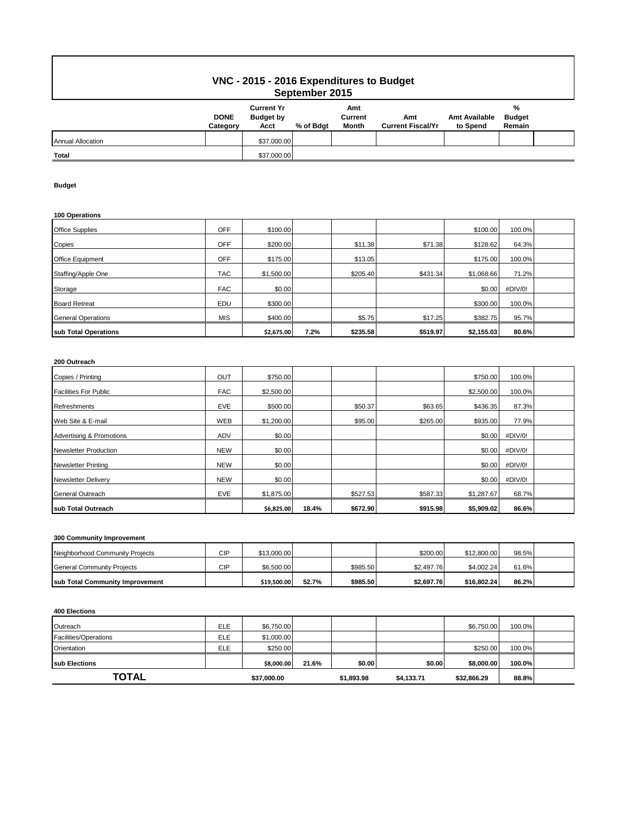# **VNC - 2015 - 2016 Expenditures to Budget September 2015**

| ---------------          |                         |                                               |           |                         |                                 |                                  |                              |  |  |
|--------------------------|-------------------------|-----------------------------------------------|-----------|-------------------------|---------------------------------|----------------------------------|------------------------------|--|--|
|                          | <b>DONE</b><br>Category | <b>Current Yr</b><br><b>Budget by</b><br>Acct | % of Bdgt | Amt<br>Current<br>Month | Amt<br><b>Current Fiscal/Yr</b> | <b>Amt Available</b><br>to Spend | %<br><b>Budget</b><br>Remain |  |  |
| <b>Annual Allocation</b> |                         | \$37,000.00                                   |           |                         |                                 |                                  |                              |  |  |
| <b>Total</b>             |                         | \$37,000.00                                   |           |                         |                                 |                                  |                              |  |  |

### **Budget**

### **100 Operations**

| sub Total Operations      |            | \$2,675.00 | 7.2% | \$235.58 | \$519.97 | \$2,155.03 | 80.6%   |  |
|---------------------------|------------|------------|------|----------|----------|------------|---------|--|
| <b>General Operations</b> | <b>MIS</b> | \$400.00   |      | \$5.75   | \$17.25  | \$382.75   | 95.7%   |  |
| <b>Board Retreat</b>      | EDU        | \$300.00   |      |          |          | \$300.00   | 100.0%  |  |
| Storage                   | <b>FAC</b> | \$0.00     |      |          |          | \$0.00     | #DIV/0! |  |
| Staffing/Apple One        | <b>TAC</b> | \$1,500.00 |      | \$205.40 | \$431.34 | \$1,068.66 | 71.2%   |  |
| Office Equipment          | <b>OFF</b> | \$175.00   |      | \$13.05  |          | \$175.00   | 100.0%  |  |
| Copies                    | OFF        | \$200.00   |      | \$11.38  | \$71.38  | \$128.62   | 64.3%   |  |
| <b>Office Supplies</b>    | OFF        | \$100.00   |      |          |          | \$100.00   | 100.0%  |  |

## **200 Outreach**

| Copies / Printing                   | <b>OUT</b> | \$750.00   |       |          |          | \$750.00   | 100.0%  |  |
|-------------------------------------|------------|------------|-------|----------|----------|------------|---------|--|
| <b>Facilities For Public</b>        | <b>FAC</b> | \$2,500.00 |       |          |          | \$2,500.00 | 100.0%  |  |
| Refreshments                        | <b>EVE</b> | \$500.00   |       | \$50.37  | \$63.65  | \$436.35   | 87.3%   |  |
| Web Site & E-mail                   | <b>WEB</b> | \$1,200.00 |       | \$95.00  | \$265.00 | \$935.00   | 77.9%   |  |
| <b>Advertising &amp; Promotions</b> | <b>ADV</b> | \$0.00     |       |          |          | \$0.00     | #DIV/0! |  |
| <b>Newsletter Production</b>        | <b>NEW</b> | \$0.00     |       |          |          | \$0.00     | #DIV/0! |  |
| <b>Newsletter Printing</b>          | <b>NEW</b> | \$0.00     |       |          |          | \$0.00     | #DIV/0! |  |
| <b>Newsletter Delivery</b>          | <b>NEW</b> | \$0.00     |       |          |          | \$0.00     | #DIV/0! |  |
| <b>General Outreach</b>             | EVE        | \$1,875.00 |       | \$527.53 | \$587.33 | \$1,287.67 | 68.7%   |  |
| sub Total Outreach                  |            | \$6,825.00 | 18.4% | \$672.90 | \$915.98 | \$5,909.02 | 86.6%   |  |

### **300 Community Improvement**

| Neighborhood Community Projects         | CIP | \$13,000.00 |       |          | \$200.00   | \$12,800.00 | 98.5% |  |
|-----------------------------------------|-----|-------------|-------|----------|------------|-------------|-------|--|
| General Community Projects              | CIP | \$6,500.00  |       | \$985.50 | \$2.497.76 | \$4.002.24  | 61.6% |  |
| <b>Isub Total Community Improvement</b> |     | \$19.500.00 | 52.7% | \$985.50 | \$2,697.76 | \$16.802.24 | 86.2% |  |

#### **400 Elections**

| Outreach              | <b>ELE</b> | \$6,750.00  |       |            |            | \$6,750.00  | 100.0% |  |
|-----------------------|------------|-------------|-------|------------|------------|-------------|--------|--|
| Facilities/Operations | <b>ELE</b> | \$1,000.00  |       |            |            |             |        |  |
| Orientation           | ELE        | \$250.00    |       |            |            | \$250.00    | 100.0% |  |
| <b>Isub Elections</b> |            | \$8,000.00  | 21.6% | \$0.00     | \$0.00     | \$8,000,00  | 100.0% |  |
| TOTAL                 |            | \$37,000.00 |       | \$1,893.98 | \$4,133.71 | \$32,866.29 | 88.8%  |  |